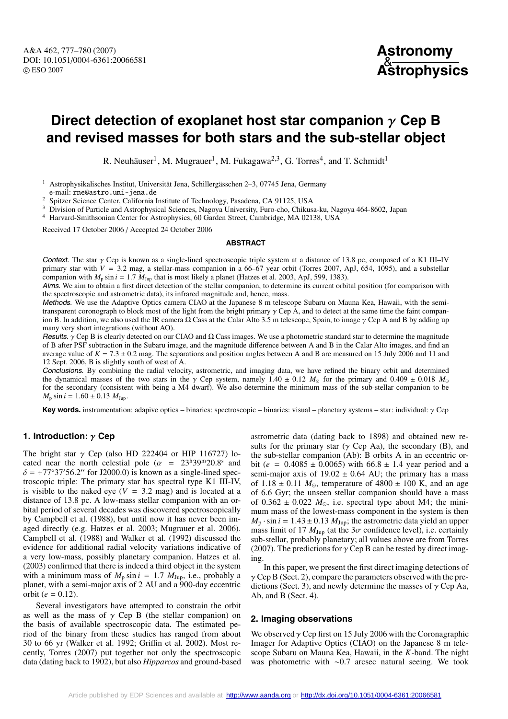# **Direct detection of exoplanet host star companion** γ **Cep B and revised masses for both stars and the sub-stellar object**

R. Neuhäuser<sup>1</sup>, M. Mugrauer<sup>1</sup>, M. Fukagawa<sup>2,3</sup>, G. Torres<sup>4</sup>, and T. Schmidt<sup>1</sup>

<sup>1</sup> Astrophysikalisches Institut, Universität Jena, Schillergässchen 2–3, 07745 Jena, Germany

e-mail: rne@astro.uni-jena.de

<sup>2</sup> Spitzer Science Center, California Institute of Technology, Pasadena, CA 91125, USA

<sup>3</sup> Division of Particle and Astrophysical Sciences, Nagoya University, Furo-cho, Chikusa-ku, Nagoya 464-8602, Japan

<sup>4</sup> Harvard-Smithsonian Center for Astrophysics, 60 Garden Street, Cambridge, MA 02138, USA

Received 17 October 2006 / Accepted 24 October 2006

#### **ABSTRACT**

Context. The star  $\gamma$  Cep is known as a single-lined spectroscopic triple system at a distance of 13.8 pc, composed of a K1 III–IV primary star with *V* = 3.2 mag, a stellar-mass companion in a 66–67 year orbit (Torres 2007, ApJ, 654, 1095), and a substellar companion with  $M_p \sin i = 1.7 M_{Jup}$  that is most likely a planet (Hatzes et al. 2003, ApJ, 599, 1383).

Aims. We aim to obtain a first direct detection of the stellar companion, to determine its current orbital position (for comparison with the spectroscopic and astrometric data), its infrared magnitude and, hence, mass.

Methods. We use the Adaptive Optics camera CIAO at the Japanese 8 m telescope Subaru on Mauna Kea, Hawaii, with the semitransparent coronograph to block most of the light from the bright primary  $\gamma$  Cep A, and to detect at the same time the faint companion B. In addition, we also used the IR camera  $\Omega$  Cass at the Calar Alto 3.5 m telescope, Spain, to image  $\gamma$  Cep A and B by adding up many very short integrations (without AO).

Results.  $\gamma$  Cep B is clearly detected on our CIAO and  $\Omega$  Cass images. We use a photometric standard star to determine the magnitude of B after PSF subtraction in the Subaru image, and the magnitude difference between A and B in the Calar Alto images, and find an average value of  $K = 7.3 \pm 0.2$  mag. The separations and position angles between A and B are measured on 15 July 2006 and 11 and 12 Sept. 2006, B is slightly south of west of A.

Conclusions. By combining the radial velocity, astrometric, and imaging data, we have refined the binary orbit and determined the dynamical masses of the two stars in the  $\gamma$  Cep system, namely 1.40  $\pm$  0.12  $M_{\odot}$  for the primary and 0.409  $\pm$  0.018  $M_{\odot}$ for the secondary (consistent with being a M4 dwarf). We also determine the minimum mass of the sub-stellar companion to be  $M_p \sin i = 1.60 \pm 0.13 M_{\text{Jup}}.$ 

**Key words.** instrumentation: adapive optics – binaries: spectroscopic – binaries: visual – planetary systems – star: individual: γ Cep

## **1. Introduction:** γ **Cep**

The bright star  $\gamma$  Cep (also HD 222404 or HIP 116727) located near the north celestial pole ( $\alpha$  = 23h39m20.8s and  $\delta = +77^{\circ}37'56.2''$  for J2000.0) is known as a single-lined spectroscopic triple: The primary star has spectral type K1 III-IV, is visible to the naked eye  $(V = 3.2 \text{ mag})$  and is located at a distance of 13.8 pc. A low-mass stellar companion with an orbital period of several decades was discovered spectroscopically by Campbell et al. (1988), but until now it has never been imaged directly (e.g. Hatzes et al. 2003; Mugrauer et al. 2006). Campbell et al. (1988) and Walker et al. (1992) discussed the evidence for additional radial velocity variations indicative of a very low-mass, possibly planetary companion. Hatzes et al. (2003) confirmed that there is indeed a third object in the system with a minimum mass of  $M_p \sin i = 1.7 M_{Jup}$ , i.e., probably a planet, with a semi-major axis of 2 AU and a 900-day eccentric orbit ( $e = 0.12$ ).

Several investigators have attempted to constrain the orbit as well as the mass of  $\gamma$  Cep B (the stellar companion) on the basis of available spectroscopic data. The estimated period of the binary from these studies has ranged from about 30 to 66 yr (Walker et al. 1992; Griffin et al. 2002). Most recently, Torres (2007) put together not only the spectroscopic data (dating back to 1902), but also *Hipparcos* and ground-based

astrometric data (dating back to 1898) and obtained new results for the primary star ( $\gamma$  Cep Aa), the secondary (B), and the sub-stellar companion (Ab): B orbits A in an eccentric orbit ( $e = 0.4085 \pm 0.0065$ ) with  $66.8 \pm 1.4$  year period and a semi-major axis of  $19.02 \pm 0.64$  AU; the primary has a mass of  $1.18 \pm 0.11$  *M*<sub>o</sub>, temperature of  $4800 \pm 100$  K, and an age of 6.6 Gyr; the unseen stellar companion should have a mass of  $0.362 \pm 0.022$   $M_{\odot}$ , i.e. spectral type about M4; the minimum mass of the lowest-mass component in the system is then  $M_p \cdot \sin i = 1.43 \pm 0.13$   $M_{Jup}$ ; the astrometric data yield an upper mass limit of 17  $M_{\text{Jup}}$  (at the  $3\sigma$  confidence level), i.e. certainly sub-stellar, probably planetary; all values above are from Torres (2007). The predictions for  $\gamma$  Cep B can be tested by direct imaging.

In this paper, we present the first direct imaging detections of  $\gamma$  Cep B (Sect. 2), compare the parameters observed with the predictions (Sect. 3), and newly determine the masses of  $\gamma$  Cep Aa, Ab, and B (Sect. 4).

### **2. Imaging observations**

We observed  $\gamma$  Cep first on 15 July 2006 with the Coronagraphic Imager for Adaptive Optics (CIAO) on the Japanese 8 m telescope Subaru on Mauna Kea, Hawaii, in the *K*-band. The night was photometric with ∼0.7 arcsec natural seeing. We took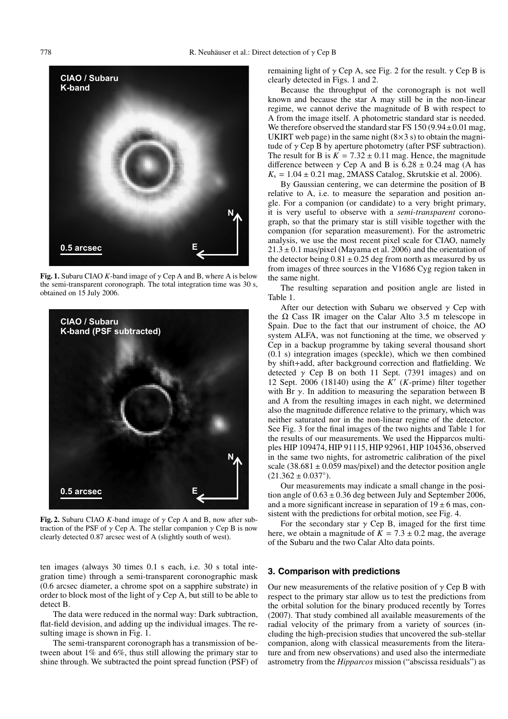

**Fig. 1.** Subaru CIAO *K*-band image of  $\gamma$  Cep A and B, where A is below the semi-transparent coronograph. The total integration time was 30 s, obtained on 15 July 2006.



**Fig. 2.** Subaru CIAO *K*-band image of  $\gamma$  Cep A and B, now after subtraction of the PSF of  $\gamma$  Cep A. The stellar companion  $\gamma$  Cep B is now clearly detected 0.87 arcsec west of A (slightly south of west).

ten images (always 30 times 0.1 s each, i.e. 30 s total integration time) through a semi-transparent coronographic mask (0.6 arcsec diameter, a chrome spot on a sapphire substrate) in order to block most of the light of  $\gamma$  Cep A, but still to be able to detect B.

The data were reduced in the normal way: Dark subtraction, flat-field devision, and adding up the individual images. The resulting image is shown in Fig. 1.

The semi-transparent coronograph has a transmission of between about 1% and 6%, thus still allowing the primary star to shine through. We subtracted the point spread function (PSF) of remaining light of  $\gamma$  Cep A, see Fig. 2 for the result.  $\gamma$  Cep B is clearly detected in Figs. 1 and 2.

Because the throughput of the coronograph is not well known and because the star A may still be in the non-linear regime, we cannot derive the magnitude of B with respect to A from the image itself. A photometric standard star is needed. We therefore observed the standard star FS  $150 (9.94 \pm 0.01$  mag, UKIRT web page) in the same night  $(8\times3 s)$  to obtain the magnitude of  $\gamma$  Cep B by aperture photometry (after PSF subtraction). The result for B is  $K = 7.32 \pm 0.11$  mag. Hence, the magnitude difference between  $\gamma$  Cep A and B is 6.28  $\pm$  0.24 mag (A has  $K_s = 1.04 \pm 0.21$  mag, 2MASS Catalog, Skrutskie et al. 2006).

By Gaussian centering, we can determine the position of B relative to A, i.e. to measure the separation and position angle. For a companion (or candidate) to a very bright primary, it is very useful to observe with a *semi-transparent* coronograph, so that the primary star is still visible together with the companion (for separation measurement). For the astrometric analysis, we use the most recent pixel scale for CIAO, namely  $21.3 \pm 0.1$  mas/pixel (Mayama et al. 2006) and the orientation of the detector being  $0.81 \pm 0.25$  deg from north as measured by us from images of three sources in the V1686 Cyg region taken in the same night.

The resulting separation and position angle are listed in Table 1.

After our detection with Subaru we observed  $\gamma$  Cep with the  $\Omega$  Cass IR imager on the Calar Alto 3.5 m telescope in Spain. Due to the fact that our instrument of choice, the AO system ALFA, was not functioning at the time, we observed  $\gamma$ Cep in a backup programme by taking several thousand short (0.1 s) integration images (speckle), which we then combined by shift+add, after background correction and flatfielding. We detected  $\gamma$  Cep B on both 11 Sept. (7391 images) and on 12 Sept. 2006 (18140) using the  $\overline{K}$  (*K*-prime) filter together with Br  $\gamma$ . In addition to measuring the separation between B and A from the resulting images in each night, we determined also the magnitude difference relative to the primary, which was neither saturated nor in the non-linear regime of the detector. See Fig. 3 for the final images of the two nights and Table 1 for the results of our measurements. We used the Hipparcos multiples HIP 109474, HIP 91115, HIP 92961, HIP 104536, observed in the same two nights, for astrometric calibration of the pixel scale  $(38.681 \pm 0.059 \text{ mas/pixel})$  and the detector position angle  $(21.362 \pm 0.037^{\circ}).$ 

Our measurements may indicate a small change in the position angle of  $0.63 \pm 0.36$  deg between July and September 2006, and a more significant increase in separation of  $19 \pm 6$  mas, consistent with the predictions for orbital motion, see Fig. 4.

For the secondary star  $\gamma$  Cep B, imaged for the first time here, we obtain a magnitude of  $K = 7.3 \pm 0.2$  mag, the average of the Subaru and the two Calar Alto data points.

### **3. Comparison with predictions**

Our new measurements of the relative position of  $\gamma$  Cep B with respect to the primary star allow us to test the predictions from the orbital solution for the binary produced recently by Torres (2007). That study combined all available measurements of the radial velocity of the primary from a variety of sources (including the high-precision studies that uncovered the sub-stellar companion, along with classical measurements from the literature and from new observations) and used also the intermediate astrometry from the *Hipparcos* mission ("abscissa residuals") as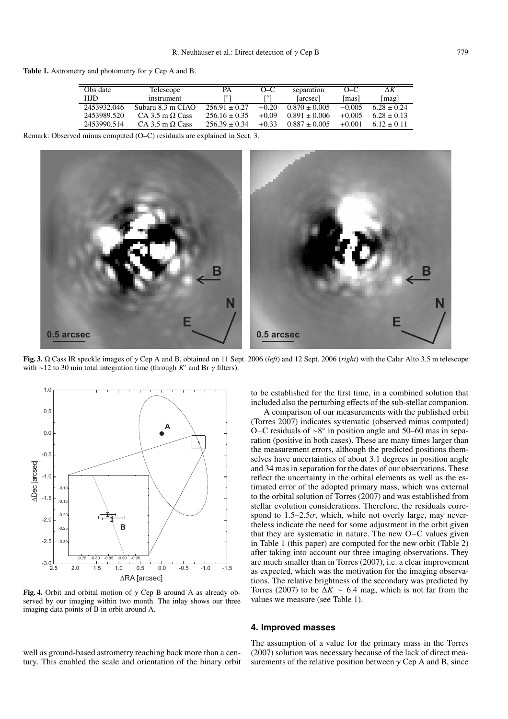**Table 1.** Astrometry and photometry for  $\gamma$  Cep A and B.

| Obs date    | Telescope              | PА                | $O-C$   | separation        | $O-C$    | ΛK              |
|-------------|------------------------|-------------------|---------|-------------------|----------|-----------------|
| HJD.        | instrument             |                   |         | [arcsec]          | [mas]    | [mag]           |
| 2453932.046 | Subaru 8.3 m CIAO      | $256.91 + 0.27$   | $-0.20$ | $0.870 \pm 0.005$ | $-0.005$ | $6.28 + 0.24$   |
| 2453989.520 | CA 3.5 m $\Omega$ Cass | $256.16 \pm 0.35$ | $+0.09$ | $0.891 \pm 0.006$ | $+0.005$ | $6.28 + 0.13$   |
| 2453990.514 | CA 3.5 m $\Omega$ Cass | $256.39 \pm 0.34$ | $+0.33$ | $0.887 \pm 0.005$ | $+0.001$ | $6.12 \pm 0.11$ |

Remark: Observed minus computed (O–C) residuals are explained in Sect. 3.



**Fig. 3.** Ω Cass IR speckle images of γ Cep A and B, obtained on 11 Sept. 2006 (*left*) and 12 Sept. 2006 (*right*) with the Calar Alto 3.5 m telescope with ~12 to 30 min total integration time (through *K'* and Br  $\gamma$  filters).



**Fig. 4.** Orbit and orbital motion of γ Cep B around A as already observed by our imaging within two month. The inlay shows our three imaging data points of B in orbit around A.

well as ground-based astrometry reaching back more than a century. This enabled the scale and orientation of the binary orbit to be established for the first time, in a combined solution that included also the perturbing effects of the sub-stellar companion.

A comparison of our measurements with the published orbit (Torres 2007) indicates systematic (observed minus computed) O−C residuals of ∼8◦ in position angle and 50–60 mas in separation (positive in both cases). These are many times larger than the measurement errors, although the predicted positions themselves have uncertainties of about 3.1 degrees in position angle and 34 mas in separation for the dates of our observations. These reflect the uncertainty in the orbital elements as well as the estimated error of the adopted primary mass, which was external to the orbital solution of Torres (2007) and was established from stellar evolution considerations. Therefore, the residuals correspond to  $1.5-2.5\sigma$ , which, while not overly large, may nevertheless indicate the need for some adjustment in the orbit given that they are systematic in nature. The new O−C values given in Table 1 (this paper) are computed for the new orbit (Table 2) after taking into account our three imaging observations. They are much smaller than in Torres (2007), i.e. a clear improvement as expected, which was the motivation for the imaging observations. The relative brightness of the secondary was predicted by Torres (2007) to be  $\Delta K \sim 6.4$  mag, which is not far from the values we measure (see Table 1).

#### **4. Improved masses**

The assumption of a value for the primary mass in the Torres (2007) solution was necessary because of the lack of direct measurements of the relative position between  $\gamma$  Cep A and B, since